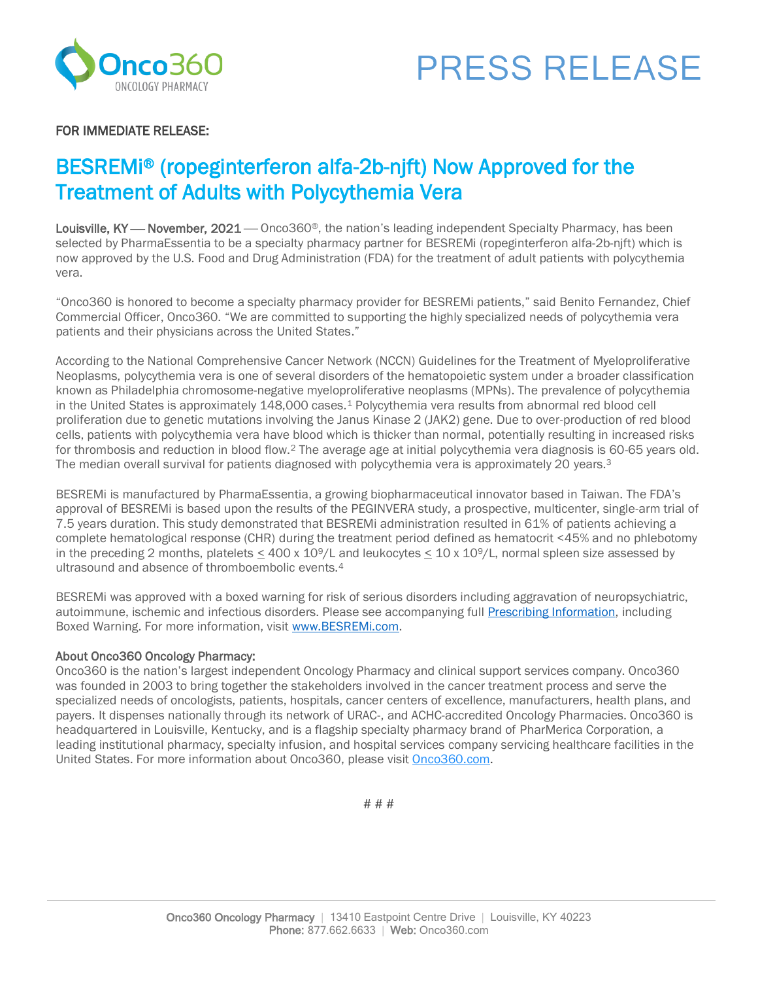



## FOR IMMEDIATE RELEASE:

# BESREMi® (ropeginterferon alfa-2b-njft) Now Approved for the Treatment of Adults with Polycythemia Vera

Louisville, KY — November, 2021 — Onco360®, the nation's leading independent Specialty Pharmacy, has been selected by PharmaEssentia to be a specialty pharmacy partner for BESREMi (ropeginterferon alfa-2b-njft) which is now approved by the U.S. Food and Drug Administration (FDA) for the treatment of adult patients with polycythemia vera.

"Onco360 is honored to become a specialty pharmacy provider for BESREMi patients," said Benito Fernandez, Chief Commercial Officer, Onco360. "We are committed to supporting the highly specialized needs of polycythemia vera patients and their physicians across the United States."

According to the National Comprehensive Cancer Network (NCCN) Guidelines for the Treatment of Myeloproliferative Neoplasms, polycythemia vera is one of several disorders of the hematopoietic system under a broader classification known as Philadelphia chromosome-negative myeloproliferative neoplasms (MPNs). The prevalence of polycythemia in the United States is approximately 148,000 cases.<sup>1</sup> Polycythemia vera results from abnormal red blood cell proliferation due to genetic mutations involving the Janus Kinase 2 (JAK2) gene. Due to over-production of red blood cells, patients with polycythemia vera have blood which is thicker than normal, potentially resulting in increased risks for thrombosis and reduction in blood flow.<sup>2</sup> The average age at initial polycythemia vera diagnosis is 60-65 years old. The median overall survival for patients diagnosed with polycythemia vera is approximately 20 years.<sup>3</sup>

BESREMi is manufactured by PharmaEssentia, a growing biopharmaceutical innovator based in Taiwan. The FDA's approval of BESREMi is based upon the results of the PEGINVERA study, a prospective, multicenter, single-arm trial of 7.5 years duration. This study demonstrated that BESREMi administration resulted in 61% of patients achieving a complete hematological response (CHR) during the treatment period defined as hematocrit <45% and no phlebotomy in the preceding 2 months, platelets  $\leq 400 \times 10^9/L$  and leukocytes  $\leq 10 \times 10^9/L$ , normal spleen size assessed by ultrasound and absence of thromboembolic events.<sup>4</sup>

BESREMi was approved with a boxed warning for risk of serious disorders including aggravation of neuropsychiatric, autoimmune, ischemic and infectious disorders. Please see accompanying ful[l Prescribing Information,](https://us.pharmaessentia.com/wp-content/uploads/2021/11/BESREMi-USPI-November-2021-1.pdf) including Boxed Warning. For more information, visit [www.BESREMi.com.](http://www.besremi.com/)

#### About Onco360 Oncology Pharmacy:

Onco360 is the nation's largest independent Oncology Pharmacy and clinical support services company. Onco360 was founded in 2003 to bring together the stakeholders involved in the cancer treatment process and serve the specialized needs of oncologists, patients, hospitals, cancer centers of excellence, manufacturers, health plans, and payers. It dispenses nationally through its network of URAC-, and ACHC-accredited Oncology Pharmacies. Onco360 is headquartered in Louisville, Kentucky, and is a flagship specialty pharmacy brand of PharMerica Corporation, a leading institutional pharmacy, specialty infusion, and hospital services company servicing healthcare facilities in the United States. For more information about Onco360, please visit [Onco360.com.](http://onco360.com/)

# # #